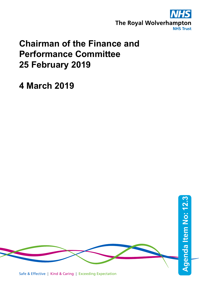

# **Chairman of the Finance and Performance Committee 25 February 2019**

**4 March 2019**

Safe & Effective | Kind & Caring | Exceeding Expectation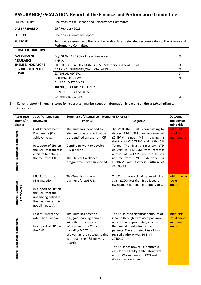# **ASSURANCE/ESCALATION Report of the Finance and Performance Committee**

| <b>PREPARED BY</b>         | Chairman of the Finance and Performance Committee                                                                           |   |  |
|----------------------------|-----------------------------------------------------------------------------------------------------------------------------|---|--|
| <b>DATE PREPARED</b>       | 25 <sup>th</sup> February 2019                                                                                              |   |  |
| <b>SUBJECT</b>             | Chairman's Summary Report                                                                                                   |   |  |
| <b>PURPOSE</b>             | To provide assurance to the Board in relation to all delegated responsibilities of the Finance and<br>Performance Committee |   |  |
| <b>STRATEGIC OBJECTIVE</b> |                                                                                                                             |   |  |
| <b>OVERVIEW OF</b>         | CQC STANDARDS (For Use of Resources)                                                                                        | x |  |
| <b>ASSURANCE</b>           | <b>NHSLA</b>                                                                                                                |   |  |
| <b>THEMES/INDICATORS</b>   | <b>OTHER REGULATORY STANDARDS - Statutory Financial Duties</b>                                                              | X |  |
| <b>HIGHLIGHTED IN THE</b>  | NATIONAL GUIDANCE/NATIONAL AUDITS                                                                                           | x |  |
| <b>REPORT</b>              | <b>EXTERNAL REVIEWS</b>                                                                                                     | x |  |
|                            | <b>INTERNAL REVIEWS</b>                                                                                                     | x |  |
|                            | CLINICAL OUTCOMES                                                                                                           |   |  |
|                            | TRENDS/RECURRENT THEMES                                                                                                     |   |  |
|                            | <b>CLINICAL EFFECTIVENESS</b>                                                                                               |   |  |
|                            | <b>BAF/RISK REGISTERS</b>                                                                                                   | x |  |

### **1) Current report - Emerging issues for report (summarise issues or information impacting on the area/compliance/ indicator)**

| <b>Assurance</b>                    | Specific Item/issue                                                                                                                                  | <b>Summary of Assurance (internal or External)</b>                                                                                                                                                          | <b>Outcome</b>                                                                                                                                                                                                                                                                                                                                                                 |                                                                |
|-------------------------------------|------------------------------------------------------------------------------------------------------------------------------------------------------|-------------------------------------------------------------------------------------------------------------------------------------------------------------------------------------------------------------|--------------------------------------------------------------------------------------------------------------------------------------------------------------------------------------------------------------------------------------------------------------------------------------------------------------------------------------------------------------------------------|----------------------------------------------------------------|
| Theme/In                            | <b>Reviewed</b>                                                                                                                                      | Positive                                                                                                                                                                                                    | Negative                                                                                                                                                                                                                                                                                                                                                                       | and any on-                                                    |
| dicator                             |                                                                                                                                                      |                                                                                                                                                                                                             |                                                                                                                                                                                                                                                                                                                                                                                | going risk                                                     |
| <b>Board Assurance Framework</b>    | Cost Improvement<br>Programme (CIP)<br>achievement.<br>In support of SR8 on<br>the BAF (that there is<br>a failure to deliver<br>the recurrent CIP). | The Trust has identified an<br>element of vacancies that can<br>be identified as recurrent CIP<br>Continuing work to develop<br>PID pipeline<br>The Clinical Excellence<br>programme is well supported.     | At M10, the Trust is forecasting to<br>deliver £14.263M (an increase of<br>£2.394M<br>since<br>M9),<br>leaving<br>a<br>shortfall of £10.737M against the CIP<br>Target. The Trust's recurrent YTD<br>delivery is £1.496M with forecast<br>outturn of £4.177M and the Trust's<br>non-recurrent<br><b>YTD</b><br>delivery<br>is<br>£9.987M with forecast outturn of<br>£10.086M. | <b>Initial risk is</b><br>rated red<br>and remains<br>red.     |
| <b>Board Assurance</b><br>Framework | Mid Staffordshire<br>FT transaction.<br>In support of SR9 on<br>the BAF (that the<br>underlying deficit in<br>the medium term is<br>not eliminated). | The Trust has received<br>payment for 2017/18                                                                                                                                                               | The Trust has received a sum which is<br>again £200k less than it believes is<br>owed and is continuing to query this.                                                                                                                                                                                                                                                         | Initial in year<br>score<br>amber.                             |
| <b>Board Assurance Framework</b>    | Loss of Emergency<br>Admissions Income.<br>In support of SR9 on<br>the BAF                                                                           | The Trust has agreed a<br>risk/gain share agreement<br>with Staffordshire and<br><b>Wolverhampton CCGs</b><br>including MRET (for<br>Wolverhampton access to this<br>is through the A&E delivery<br>board). | The Trust lost a significant amount of<br>income through its revised pathways<br>of care that appropriately ensured<br>the Trust did not admit some<br>patients. The estimated loss of this<br>revised pathway was £4.8m in<br>2016/17.<br>The Trust has now re- submitted a<br>case for the Frailty/ambulatory care<br>unit to Wolverhampton CCG and<br>discussion continues. | <b>Initial risk is</b><br>rated amber<br>and remains<br>amber. |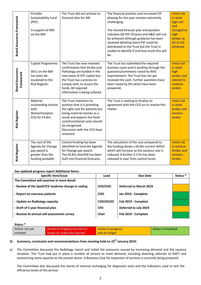| Board Assurance Framework           | Provider<br>Sustainability Fund<br>(PSF).<br>In support of SR9<br>on the BAF.                 | The Trust did not achieve its<br>financial plan for M6                                                                                                                                                                                                      | The financial position and increased CIP<br>phasing for the year remains extremely<br>challenging.<br>The revised forecast year end position<br>indicates Q4 PSF (finance and A&E) will not<br>be achieved although guidance has been<br>received detailing more PSF could be<br>distributed to the Trust but the Trust is<br>unable to identify if and how much this will<br>be. | <b>Initial risk</b><br>is rated<br>high red<br>and<br>changed to<br>high<br><b>Amber as</b><br>Q1 to Q3<br>achieved. |
|-------------------------------------|-----------------------------------------------------------------------------------------------|-------------------------------------------------------------------------------------------------------------------------------------------------------------------------------------------------------------------------------------------------------------|-----------------------------------------------------------------------------------------------------------------------------------------------------------------------------------------------------------------------------------------------------------------------------------------------------------------------------------------------------------------------------------|----------------------------------------------------------------------------------------------------------------------|
| <b>Board Assurance</b><br>Framework | Capital Programme.<br>SR11 on the BAF<br>has been de-<br>escalated to the<br>Risk Register.   | The Trust has now received<br>confirmation that Stroke and<br>Pathology are funded in the<br>next wave of STP capital but<br>the Trust has a process to<br>comply with, to access the<br>funds. All required<br>information is being collated.              | The Trust has submitted the required<br>business cases and is working through the<br>questions/comments raised by NHS<br>Improvement. The Trust has not yet<br>received the cash. Further questions have<br>been raised by DH which have been<br>answered.                                                                                                                        | <b>Initial risk</b><br>is rated<br>high<br>amber and<br>altered to<br>medium<br>amber.                               |
| <b>Risk Register</b>                | Material<br>outstanding Invoice<br>with<br>Wolverhampton<br>CCG for £4.8m.                    | The Trust maintains its<br>position that it is providing<br>the right care for patients but<br>losing material monies as a<br>result and expects the fixed<br>cost/transitional costs should<br>be recognised.<br>Discussion with the CCG have<br>restarted | The Trust is seeking to finalise an<br>agreement with the CCG on to resolve this<br>matter                                                                                                                                                                                                                                                                                        | <b>Initial risk</b><br>is rated<br>amber and<br>remains<br>amber.                                                    |
| <b>Risk Register</b>                | The cost of the<br>Agenda for Change<br>pay award is<br>greater than the<br>funding available | Central funding has been<br>identified to fund the Agenda<br>for Change pay award.<br>The £0.8m shortfall has been<br>built into financial forecasts.                                                                                                       | The calculation of the cost compared to<br>the funding shows a £0.8m current deficit<br>which will increase as the vacancy rate is<br>reduced. A further 0.17m has been<br>released in year from central funds.                                                                                                                                                                   | <b>Initial risk</b><br>is rated as<br><b>Amber and</b><br>remains<br>Amber.                                          |

#### **See updated progress report Additional Items:**

| Specific item/Issue                                 | Lead       | Due Date               | Status <sup>*</sup> |
|-----------------------------------------------------|------------|------------------------|---------------------|
| The Committee will examine in more detail:          |            |                        |                     |
| - Review of the Spell/FCE medicine change in coding | CFO/COO    | Deferred to March 2019 |                     |
| - Report on overseas patients                       | <b>COO</b> | Jan 2019 - Complete    |                     |
| - Update on Radiology capacity                      | COO/DCOO   | Feb 2019 - Complete    |                     |
| - Draft of 5 year financial plan                    | <b>CFO</b> | Deferred to July 2019  |                     |
| - Receive bi-annual self-assessment survey          | Chair      | Feb 2019 - Complete    |                     |

#### **Status \***

| Action not yet | Action In Progress but not on | Action in progress | <b>Action Completed</b> |
|----------------|-------------------------------|--------------------|-------------------------|
| initiated      | target or target has expired  | and on target      |                         |

## **2) Summary, conclusion and recommendations from meeting held on 23rd January 2019:**

a) The Committee discussed the Radiology report and noted the pressures caused by increasing demand and the vacancy situation. The Trust had put in place a number of actions to meet demand, including diverting referrals to DGFT and outsourcing some capacity to the private sector. A Business Case for expansion of services is currently being prepared.

The Committee also discussed the merits of internal recharging for diagnostic tests and the indicators used to test the efficiency levels of the service.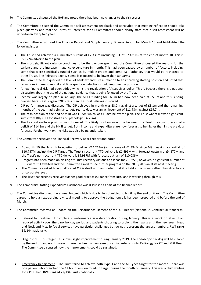- b) The Committee discussed the BAF and noted there had been no changes to the risk scores.
- c) The Committee discussed the Committee self-assessment feedback and concluded that meeting reflection should take place quarterly and that the Terms of Reference for all Committees should clearly state that a self-assessment will be undertaken every two years.
- d) The Committee scrutinised the Finance Report and Supplementary Finance Report for Month 10 and highlighted the following issues:
	- The Trust had achieved a cumulative surplus of £2.335m (including PSF of £7.421m) at the end of month 10. This is £5.172m adverse to the plan.
	- The most significant variance continues to be the pay overspend and the Committee discussed the reasons for the variance and the increase in agency expenditure in month. This had been caused by a number of factors, including some that were specifically funded such as ED middle grades and some e.g. Pathology that would be recharged to other Trusts. The February agency spend is expected to be lower than January's.
	- The Committee also queried the level of bank expenditure in relation to an improving staffing position and noted that reductions in time to recruit and time spent on induction should improve the position.
	- A new financial risk had been added which is the revaluation of Asset Lives policy. This is because there is a national discussion about the use of the national guidance that is being followed by the Trust.
	- Income was largely on plan in January. The MSFT funding for £6.0m had now been paid at £5.8m and this is being queried because it is again £200k less than the Trust believes it is owed.
	- CIP performance was discussed. The CIP achieved in month was £3.0m against a target of £3.1m and the remaining months of the year had a similar target. Year to date was an achievement of £11.48m against £19.7m.
	- The cash position at the end of M10 was £9.5m which was £6.8m below the plan. The Trust was still owed significant sums from DH/NHSI for stroke and pathology (£6.25m).
	- The forecast outturn position was discussed. The likely position would be between the Trust previous forecast of a deficit of £14.8m and the NHSI target. Both income and expenditure are now forecast to be higher than in the previous forecast. Further work on the risks was also being undertaken.
- e) The Committee received the Financial Recovery Board report and noted:
	- At month 10 the Trust is forecasting to deliver £14.263m (an increase of £2.394M since M9), leaving a shortfall of £10.737M against the CIP Target. The Trust's recurrent YTD delivery is £1.496M with forecast outturn of £4.177M and the Trust's non-recurrent YTD delivery is £9.987M with forecast outturn of £10.086M.
	- Progress has been made on closing off Trust recovery Actions and ideas for 2019/20, however, a significant number of PIDs were still awaited and the Committee asked to see further progress on the 2019/20 plan at its next meeting.
	- The Committee asked how unallocated CIP is dealt with and noted that it is held at divisional rather than directorate or corporate level.
	- The Trust has recently received further good practice guidance from NHSI and is working through this.
- f) The Temporary Staffing Expenditure Dashboard was discussed as part of the finance report.
- g) The Committee discussed the annual budget which is due to be submitted to NHSI by the end of March. The Committee agreed to hold an extraordinary virtual meeting to approve the budget once it has been prepared and before the end of March.
- h) The Committee received an update on the Performance Element of the IQP Report (National & Contractual Standards):
	- Referral to Treatment Incomplete Performance saw deterioration during January. This is a knock on effect from reduced activity over the bank holiday period and patients choosing to prolong their waits until the new year. Head and Neck and Maxillo facial services have particular challenges but do not represent the largest numbers. RWT ranks 39/144 nationally.
	- Diagnostics This target has shown slight improvement during January 2019. The endoscopy backlog will be cleared by the end of January. However, there has been an increase of cardiac referrals into Radiology for CT and MRI Heart. The Committee discussed how the improvements could be sustained.
	- Emergency Department The Trust failed to achieve both Type 1 and the All Types target for the month. There was one patient who breached the 12 hour decision to admit target during the month of January. This was a child waiting for a PICU bed. RWT ranked 27/134 Trusts nationally.